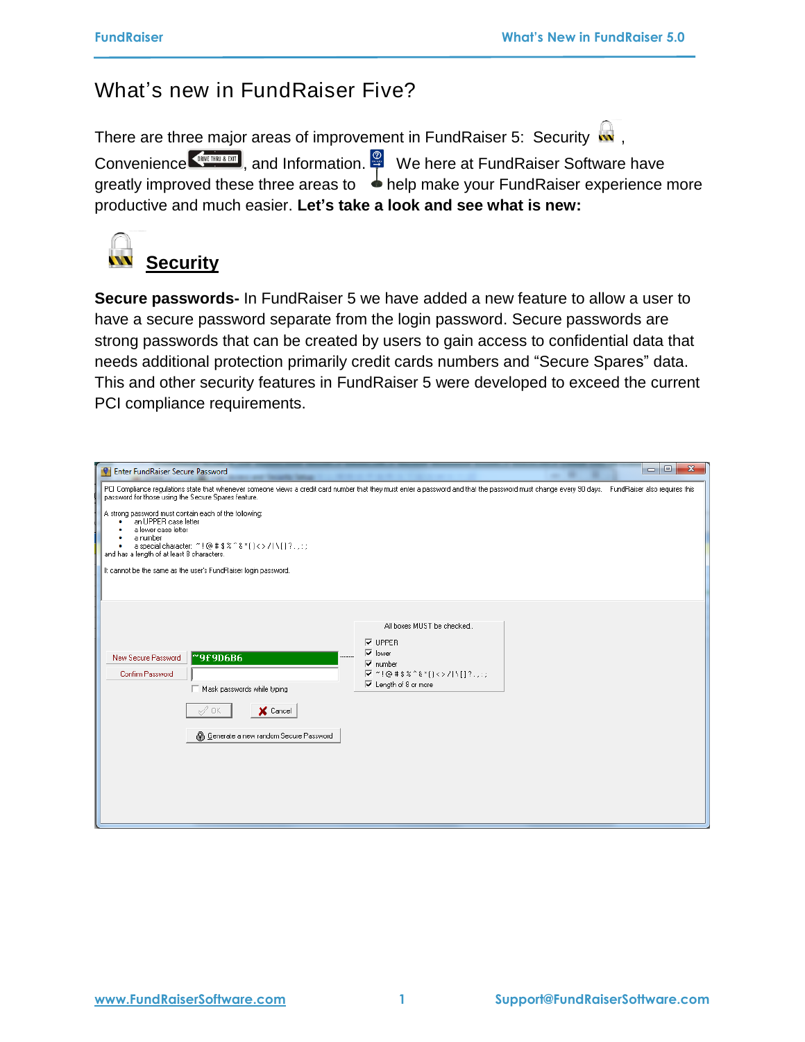## What's new in FundRaiser Five?

There are three major areas of improvement in FundRaiser 5: Security  $\frac{1}{2}$ , Convenience **Continuation**, and Information. We here at FundRaiser Software have greatly improved these three areas to  $\rightarrow$  help make your FundRaiser experience more productive and much easier. **Let's take a look and see what is new:**

**Security**

**Secure passwords-** In FundRaiser 5 we have added a new feature to allow a user to have a secure password separate from the login password. Secure passwords are strong passwords that can be created by users to gain access to confidential data that needs additional protection primarily credit cards numbers and "Secure Spares" data. This and other security features in FundRaiser 5 were developed to exceed the current PCI compliance requirements.

| <b>Enter FundRaiser Secure Password</b>                                                                                                                                                                                             | $=$ $ 0 $<br>$\mathbf{x}$                                                                                                                                                                        |
|-------------------------------------------------------------------------------------------------------------------------------------------------------------------------------------------------------------------------------------|--------------------------------------------------------------------------------------------------------------------------------------------------------------------------------------------------|
| password for those using the Secure Spares feature.                                                                                                                                                                                 | PCI Compliance regulations state that whenever someone views a credit card number that they must enter a password and that the password must change every 90 days. FundRaiser also requires this |
| A strong password must contain each of the following:<br>an UPPER case letter<br>a lower case letter<br>a number<br>a special character: ~! @#\$%^&*()<>/l\[]?.;;;<br>and has a length of at least 8 characters.                    |                                                                                                                                                                                                  |
| It cannot be the same as the user's FundRaiser login password.                                                                                                                                                                      |                                                                                                                                                                                                  |
| $\nabla$ UPPER<br>$\overline{\vee}$ lower<br>"9f9D6B6<br>.<br>New Secure Password<br>$\overline{\mathbf{v}}$ number<br>Confirm Password<br>Mask passwords while typing<br>X Cancel<br>ΟK<br>e Generate a new random Secure Password | All boxes MUST be checked<br>$\sqrt{2}$ ~!@#\$%^&*()<>/l\[]?.,:;<br>$\overline{\vee}$ Length of 8 or more                                                                                        |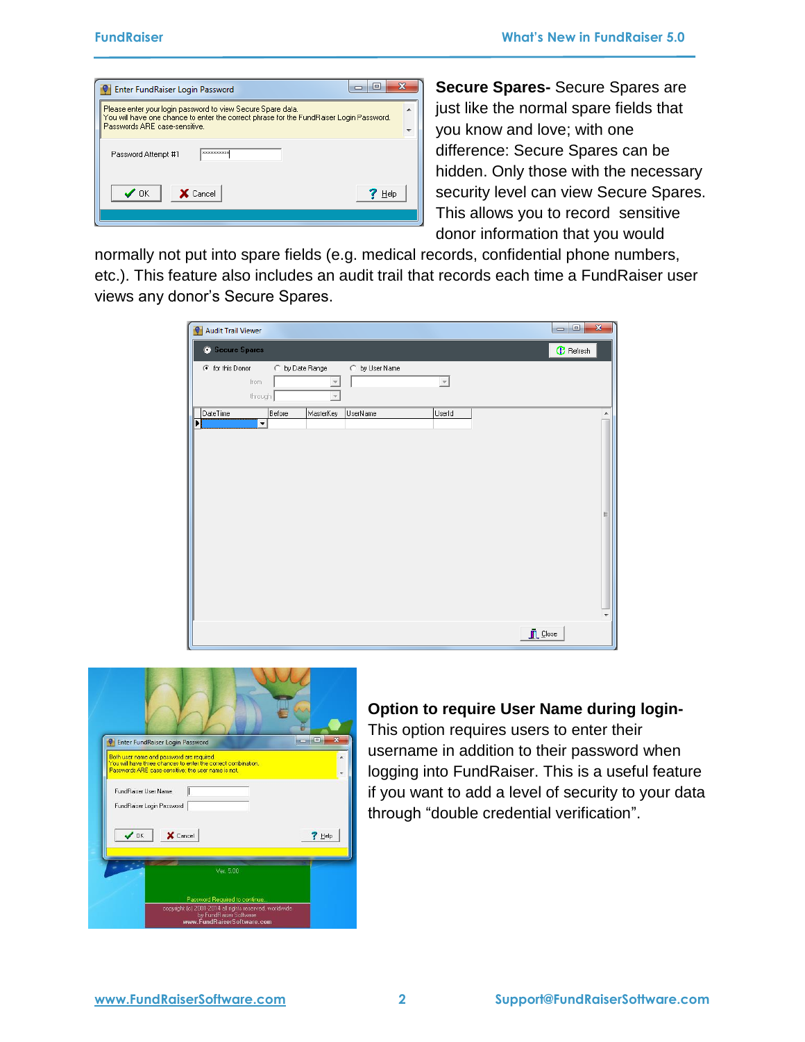| Please enter your login password to view Secure Spare data.                                                             |  |
|-------------------------------------------------------------------------------------------------------------------------|--|
| You will have one chance to enter the correct phrase for the FundRaiser Login Password.<br>Passwords ARE case-sensitive |  |
| <b>XXXXXXXXXX</b><br>Password Attempt #1                                                                                |  |
| $\prime$ ok<br><b>X</b> Cancel<br>Help                                                                                  |  |

**Secure Spares-** Secure Spares are just like the normal spare fields that you know and love; with one difference: Secure Spares can be hidden. Only those with the necessary security level can view Secure Spares. This allows you to record sensitive donor information that you would

normally not put into spare fields (e.g. medical records, confidential phone numbers, etc.). This feature also includes an audit trail that records each time a FundRaiser user views any donor's Secure Spares.

| <b>Audit Trail Viewer</b><br>$\bullet$                    |                 |                       |                         | $\mathbf{x}$<br>$\Box$ e |
|-----------------------------------------------------------|-----------------|-----------------------|-------------------------|--------------------------|
| Secure Spares                                             |                 |                       |                         | <b>C</b> Refresh         |
| C for this Donor<br>from<br>through                       | C by Date Range | C by User Name        | $\overline{\mathbf{v}}$ |                          |
| DateTime<br>$\blacktriangleright$<br>$\blacktriangledown$ | Before          | MasterKey<br>UserName | UserId                  | ▴<br>Ξ                   |
|                                                           |                 |                       |                         | $\Box$ Close             |



### **Option to require User Name during login-**

This option requires users to enter their username in addition to their password when logging into FundRaiser. This is a useful feature if you want to add a level of security to your data through "double credential verification".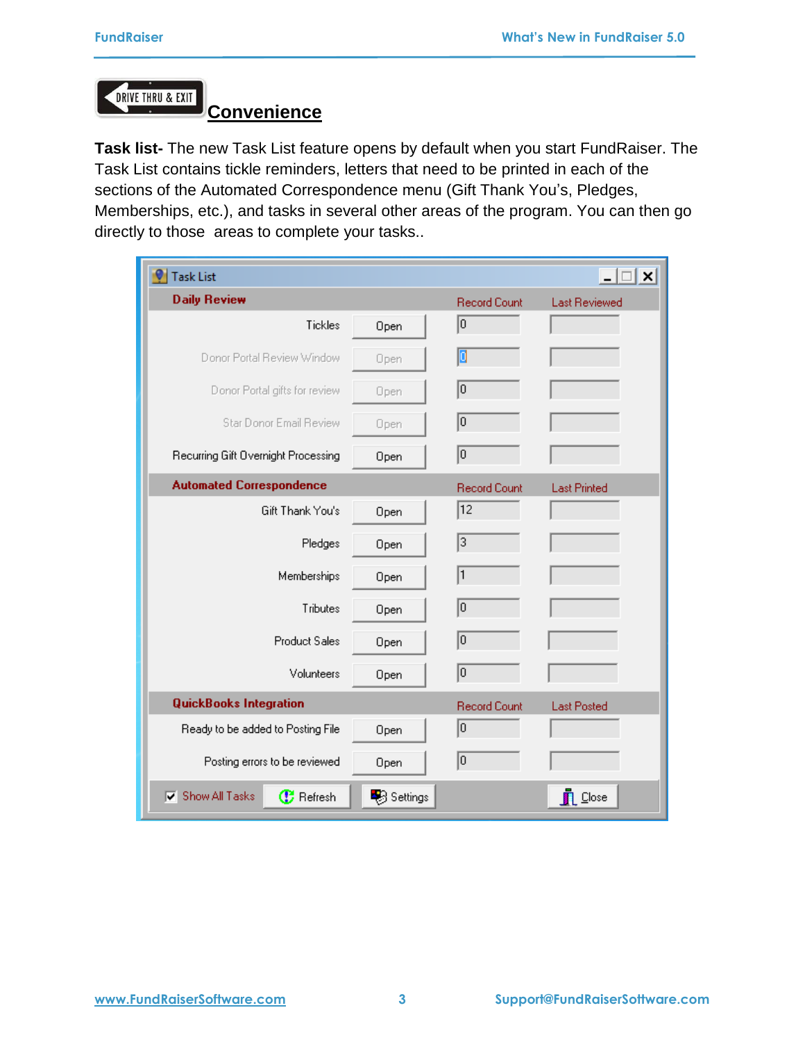DRIVE THRU & EXIT

# **Convenience**

**Task list-** The new Task List feature opens by default when you start FundRaiser. The Task List contains tickle reminders, letters that need to be printed in each of the sections of the Automated Correspondence menu (Gift Thank You's, Pledges, Memberships, etc.), and tasks in several other areas of the program. You can then go directly to those areas to complete your tasks..

| <b>Task List</b>                                                |          |                     | $ \Box$ $\times$     |
|-----------------------------------------------------------------|----------|---------------------|----------------------|
| <b>Daily Review</b>                                             |          | <b>Record Count</b> | <b>Last Reviewed</b> |
| Tickles                                                         | Open     | o                   |                      |
| Donor Portal Review Window                                      | Open     | O                   |                      |
| Donor Portal gifts for review                                   | Open     | o                   |                      |
| Star Donor Email Review                                         | Open     | 0                   |                      |
| Recurring Gift Overnight Processing                             | Open     | o                   |                      |
| <b>Automated Correspondence</b>                                 |          | <b>Record Count</b> | <b>Last Printed</b>  |
| Gift Thank You's                                                | Open     | $ 12\rangle$        |                      |
| Pledges                                                         | Open     | 3                   |                      |
| Memberships                                                     | Open     | 1                   |                      |
| Tributes                                                        | Open     | 0                   |                      |
| <b>Product Sales</b>                                            | Open     | 0                   |                      |
| Volunteers                                                      | Open     | ⊺о                  |                      |
| <b>QuickBooks Integration</b>                                   |          | <b>Record Count</b> | <b>Last Posted</b>   |
| Ready to be added to Posting File                               | Open     | 0                   |                      |
| Posting errors to be reviewed                                   | Open     | 0                   |                      |
| Show All Tasks<br>$ \overline{\mathbf{v}} $<br><b>B</b> Refresh | Settings |                     | <b>D</b> Close       |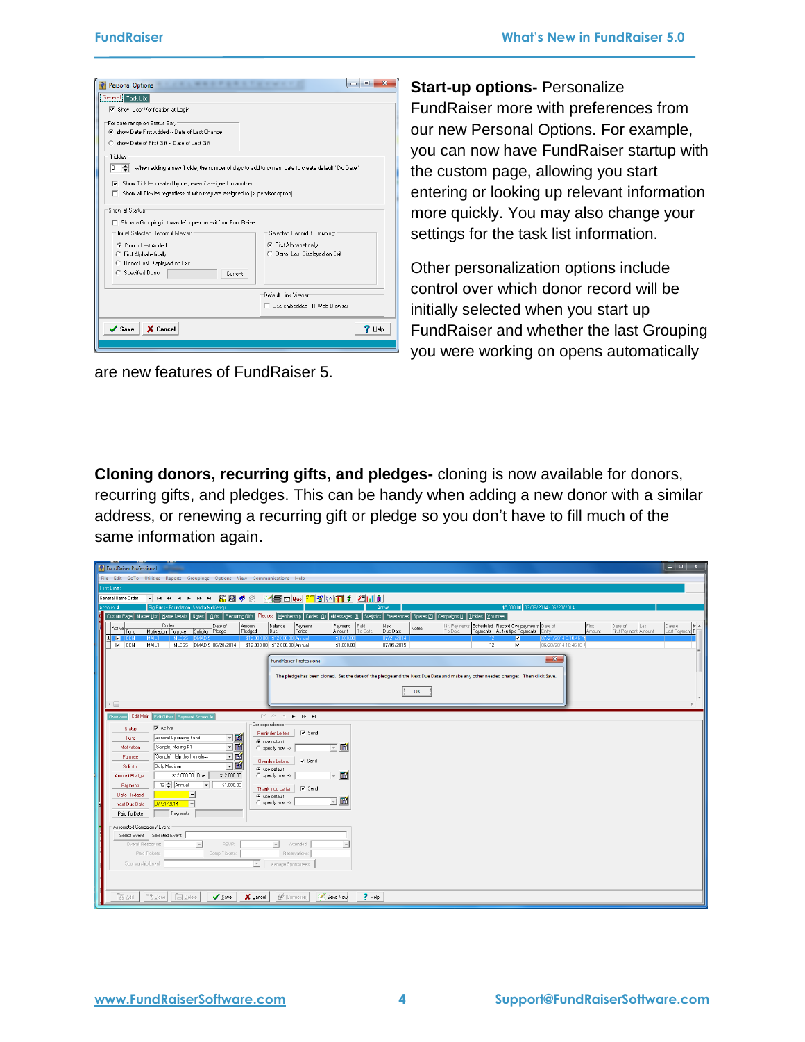| <b><i><u><b>A</b> A A A A A A T A A A A</u></i></b><br>۰<br><b>Personal Options</b>                                                                                                                                                                             | $\overline{\mathbf{X}}$<br>E<br>$\equiv$                                                  |  |
|-----------------------------------------------------------------------------------------------------------------------------------------------------------------------------------------------------------------------------------------------------------------|-------------------------------------------------------------------------------------------|--|
| General Task List                                                                                                                                                                                                                                               |                                                                                           |  |
| □ Show User Verification at Login                                                                                                                                                                                                                               |                                                                                           |  |
| For date range on Status Bar,<br>6 show Date First Added -- Date of Last Change<br>C show Date of First Gift -- Date of Last Gift                                                                                                                               |                                                                                           |  |
| Tickles<br>When adding a new Tickle, the number of days to add to current date to create default "Do Date"<br>'n<br>Show Tickles created by me, even if assigned to another<br>⊽<br>Show all Tickles regardless of who they are assigned to (supervisor option) |                                                                                           |  |
| Show at Startup<br>Show a Grouping if it was left open on exit from FundRaiser.<br>Initial Selected Record if Master:<br>C Donor Last Added<br>First Alphabetically<br>C.<br>C Donor Last Displayed on Exit<br>C Specified Donor<br>Current                     | Selected Record if Grouping:<br>First Alphabetically<br>Donor Last Displayed on Exit<br>o |  |
|                                                                                                                                                                                                                                                                 | Default Link Viewer<br>Use embedded FR Web Browser                                        |  |
| $\checkmark$ Save<br>X Cancel                                                                                                                                                                                                                                   | $7$ Help                                                                                  |  |
|                                                                                                                                                                                                                                                                 |                                                                                           |  |

are new features of FundRaiser 5.

**Start-up options-** Personalize FundRaiser more with preferences from our new Personal Options. For example, you can now have FundRaiser startup with the custom page, allowing you start entering or looking up relevant information more quickly. You may also change your settings for the task list information.

Other personalization options include control over which donor record will be initially selected when you start up FundRaiser and whether the last Grouping you were working on opens automatically

**Cloning donors, recurring gifts, and pledges-** cloning is now available for donors, recurring gifts, and pledges. This can be handy when adding a new donor with a similar address, or renewing a recurring gift or pledge so you don't have to fill much of the same information again.

| <b>O</b> FundRaiser Professional                                                                                                                                                                                                                                                                                                                                                    | $  x$                            |
|-------------------------------------------------------------------------------------------------------------------------------------------------------------------------------------------------------------------------------------------------------------------------------------------------------------------------------------------------------------------------------------|----------------------------------|
| File Edit GoTo Utilities Reports Groupings Options View Communications Help                                                                                                                                                                                                                                                                                                         |                                  |
| Hint Line:                                                                                                                                                                                                                                                                                                                                                                          |                                  |
| General Name Order<br><b>HH H H H</b>                                                                                                                                                                                                                                                                                                                                               |                                  |
| \$5,000.00 03/09/2014 - 06/20/2014<br>Big Bucks Foundation (Sandra McKenny<br>Active<br>Account 4                                                                                                                                                                                                                                                                                   |                                  |
| Custom Page   Master List   Name Details   Notes   Gifts   Recuring Gifts   Pledges   Membership   Codes (0)   eMessages (8)   Statistics   Preferences   Spares (2)   Campaigns (1)   Tickles   Volunteer                                                                                                                                                                          |                                  |
| Codes<br>Date of<br>Balance<br>Paid<br>Nr. Payments Scheduled Record Overpayments Date of<br>Amount<br>Payment<br>Payment<br>Next<br>First<br>Date of<br>Last<br>Notes<br>Active Fund<br>To Date<br>First Payment Amount<br>Payments As Multiple Payments<br>Entry<br>Motivation Purpose<br>Solicitor Pledge<br>Pledged<br>Period<br>Due Date<br>Amount<br>Due<br>Amount<br>To Date | $W -$<br>Date of<br>Last Payment |
| $\blacksquare$<br>$\blacksquare$ GEN<br>\$12,000.00 \$12,000.00 Annual<br>07/21/2014 5:18:46 Pf<br>MAIL <sub>1</sub><br>HMLES:<br><b>DMAR</b><br> 07/21/2014<br>\$1,000.00<br>-12                                                                                                                                                                                                   |                                  |
| $\nabla$ GEN<br>12<br>⊽<br>HMLESS DMADIS 06/20/2014<br>06/20/2014 10:46:03 /<br>MAIL1<br>\$12,000.00 \$12,000.00 Annual<br>\$1,000.00<br>07/05/2015                                                                                                                                                                                                                                 |                                  |
| $-x$<br><b>FundRaiser Professional</b>                                                                                                                                                                                                                                                                                                                                              |                                  |
|                                                                                                                                                                                                                                                                                                                                                                                     |                                  |
| The pledge has been cloned. Set the date of the pledge and the Next Due Date and make any other needed changes. Then click Save.                                                                                                                                                                                                                                                    |                                  |
| OK                                                                                                                                                                                                                                                                                                                                                                                  |                                  |
|                                                                                                                                                                                                                                                                                                                                                                                     |                                  |
| $\leftarrow$                                                                                                                                                                                                                                                                                                                                                                        |                                  |
| Edit Main Edit Other Payment Schedule<br>$\mathbb{M} \times \mathbb{M} \times \mathbb{N} \times \mathbb{N}$<br>Overview                                                                                                                                                                                                                                                             |                                  |
| Correspondence<br>$\nabla$ Active<br><b>Status</b>                                                                                                                                                                                                                                                                                                                                  |                                  |
| $\nabla$ Send<br><b>Reminder Letters</b><br>回画<br>General Operating Fund<br>Fund<br>← use default                                                                                                                                                                                                                                                                                   |                                  |
| 回國<br>$\neg$ $\blacksquare$<br>(Sample) Mailing #1<br>Motivation<br>$\cap$ specify now $\rightarrow$                                                                                                                                                                                                                                                                                |                                  |
| 回画<br>(Sample) Help the Homeless<br>Purpose<br>$\overline{\smash{\vee}}$ Send                                                                                                                                                                                                                                                                                                       |                                  |
| <b>Overdue Letters</b><br>回画<br>Dolly Madison<br>Solicitor<br>← use default                                                                                                                                                                                                                                                                                                         |                                  |
| ⊡■<br>\$12,000.00 Due<br>\$12,000.00<br>$\cap$ specify now $\rightarrow$<br>Amount Pledged                                                                                                                                                                                                                                                                                          |                                  |
| 12   Annual<br>\$1,000.00<br>$\mathbf{r}$<br>Payments<br>$\nabla$ Send<br>Thank You Letter                                                                                                                                                                                                                                                                                          |                                  |
| Date Pledged<br>×<br>C use default                                                                                                                                                                                                                                                                                                                                                  |                                  |
| 凾<br>$\mathcal{A}$<br>$\bigcap$ specify now $\rightarrow$<br>$\vert \cdot \vert$<br>07/21/2014<br>Next Due Date                                                                                                                                                                                                                                                                     |                                  |
| Payments<br>Paid To Date                                                                                                                                                                                                                                                                                                                                                            |                                  |
| Associated Campaign / Event                                                                                                                                                                                                                                                                                                                                                         |                                  |
| Select Event   Selected Event:                                                                                                                                                                                                                                                                                                                                                      |                                  |
| RSVP:<br>Overall Response:<br>Attended:<br>$\overline{\phantom{a}}$<br>$\overline{\phantom{a}}$                                                                                                                                                                                                                                                                                     |                                  |
| Paid Tickets:<br>Comp Tickets:<br>Reservations:                                                                                                                                                                                                                                                                                                                                     |                                  |
| Sponsorship Level:<br>$\mathbf{v}$<br>Manage Sponsorees                                                                                                                                                                                                                                                                                                                             |                                  |
|                                                                                                                                                                                                                                                                                                                                                                                     |                                  |
|                                                                                                                                                                                                                                                                                                                                                                                     |                                  |
| <sup>13</sup> Clone<br>$?$ Help<br>$\Box$ Delete<br>$\checkmark$ Save<br>X Cancel<br>& (Correction)<br>Send Now<br><b>CS</b> Add                                                                                                                                                                                                                                                    |                                  |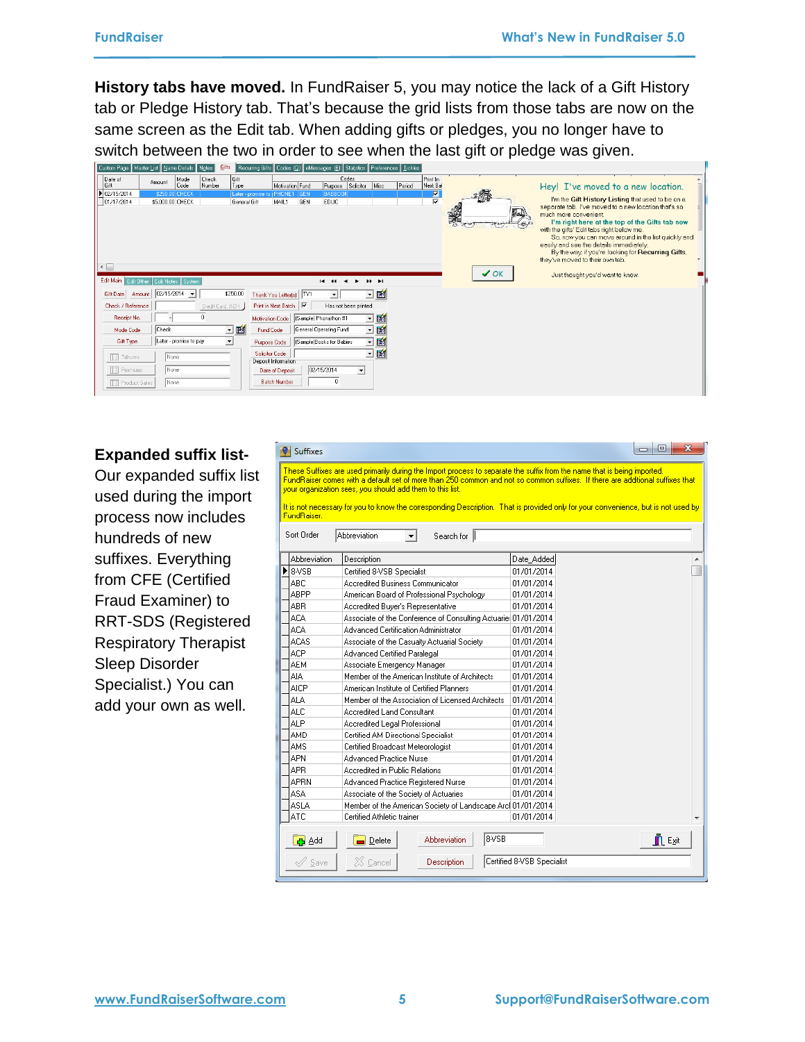**History tabs have moved.** In FundRaiser 5, you may notice the lack of a Gift History tab or Pledge History tab. That's because the grid lists from those tabs are now on the same screen as the Edit tab. When adding gifts or pledges, you no longer have to switch between the two in order to see when the last gift or pledge was given.

| Custom Page    Master <u>L</u> ist    <u>N</u> ame Details    N <u>o</u> tes |                                    |                            | <u>La</u> its    |              | Recurring Gifts   Codes [0]    eMessages [8]    Statistics    Preferences    Tickles |                   |                          |                       |                     |        |                                            |                 |                                                                                             |  |
|------------------------------------------------------------------------------|------------------------------------|----------------------------|------------------|--------------|--------------------------------------------------------------------------------------|-------------------|--------------------------|-----------------------|---------------------|--------|--------------------------------------------|-----------------|---------------------------------------------------------------------------------------------|--|
| Date of                                                                      | Amount                             | Mode                       | Check            | Gift         |                                                                                      |                   |                          | Codes                 |                     |        | Print In                                   |                 |                                                                                             |  |
| Gift                                                                         |                                    | Code                       | Number           | Type         |                                                                                      | Motivation Fund   | Purpose                  | Solicitor             | Misc                | Period | Next Bal                                   |                 | Hey! I've moved to a new location.                                                          |  |
| 1 02/15/2014<br>01/17/2014                                                   | \$250.00 CHECK<br>\$5,000.00 CHECK |                            |                  | General Gift | Later - promise to   PHONE1<br>MAIL1                                                 | <b>GEN</b><br>GEN | BABBOOK<br><b>EDUC</b>   |                       |                     |        | $\frac{\overline{\mathbf{N}}}{\mathbf{N}}$ |                 | I'm the Gift History Listing that used to be on a                                           |  |
|                                                                              |                                    |                            |                  |              |                                                                                      |                   |                          |                       |                     |        |                                            |                 | separate tab. I've moved to a new location that's so                                        |  |
|                                                                              |                                    |                            |                  |              |                                                                                      |                   |                          |                       |                     |        |                                            | E.I.            | much more convenient.                                                                       |  |
|                                                                              |                                    |                            |                  |              |                                                                                      |                   |                          |                       |                     |        |                                            |                 | I'm right here at the top of the Gifts tab now<br>with the gifts' Edit tabs right below me. |  |
|                                                                              |                                    |                            |                  |              |                                                                                      |                   |                          |                       |                     |        |                                            |                 | So, now you can move around in the list quickly and                                         |  |
|                                                                              |                                    |                            |                  |              |                                                                                      |                   |                          |                       |                     |        |                                            |                 | easily and see the details immediately.                                                     |  |
|                                                                              |                                    |                            |                  |              |                                                                                      |                   |                          |                       |                     |        |                                            |                 | By the way, if you're looking for Recurring Gifts,                                          |  |
| $\leftarrow$                                                                 |                                    |                            |                  |              |                                                                                      |                   |                          |                       |                     |        |                                            |                 | they've moved to their own tab.                                                             |  |
|                                                                              |                                    |                            |                  |              |                                                                                      |                   |                          |                       |                     |        |                                            | $\checkmark$ ok | Just thought you'd want to know.                                                            |  |
| Edit Main Edit Other   Edit Notes   System                                   |                                    |                            |                  |              |                                                                                      |                   | 14.44                    |                       | <b>HERE</b>         |        |                                            |                 |                                                                                             |  |
| Gift Date<br>Amount                                                          |                                    | $02/15/2014$ $\rightarrow$ |                  | \$250.00     | Thank You Letter(s)   TYT                                                            |                   |                          |                       | 回顧                  |        |                                            |                 |                                                                                             |  |
| Check / Reference                                                            |                                    |                            | Credit Card, ACH |              | Print in Next Batch V                                                                |                   |                          | Has not been printed. |                     |        |                                            |                 |                                                                                             |  |
| Receipt No.                                                                  |                                    |                            | $\mathbf{0}$     |              | Motivation Code                                                                      |                   | (Sample) Phonathon #1    |                       | $\blacksquare$<br>ᅬ |        |                                            |                 |                                                                                             |  |
| Mode Code                                                                    | <b>Check</b>                       |                            |                  | ⊡■           | <b>Fund Code</b>                                                                     |                   | General Operating Fund   |                       | 回國                  |        |                                            |                 |                                                                                             |  |
| Gift Type                                                                    |                                    | Later - promise to pay     |                  | ×            | Purpose Code                                                                         |                   | (Sample)Books for Babies |                       | 画<br>ᅬ              |        |                                            |                 |                                                                                             |  |
| <b>TTT</b> Tributes                                                          | None                               |                            |                  |              | Solicitor Code                                                                       |                   |                          |                       | 1<br>ᅬ              |        |                                            |                 |                                                                                             |  |
|                                                                              |                                    |                            |                  |              | Deposit Information                                                                  |                   |                          |                       |                     |        |                                            |                 |                                                                                             |  |
| <b>TTT</b> Premiums                                                          | None                               |                            |                  |              | Date of Deposit                                                                      |                   | 02/15/2014               | $\blacktriangledown$  |                     |        |                                            |                 |                                                                                             |  |
| <b>TTT</b> Product Sales                                                     | None                               |                            |                  |              | <b>Batch Number</b>                                                                  |                   | 0                        |                       |                     |        |                                            |                 |                                                                                             |  |
|                                                                              |                                    |                            |                  |              |                                                                                      |                   |                          |                       |                     |        |                                            |                 |                                                                                             |  |

#### **Expanded suffix list-**

Our expanded suffix list used during the import process now includes hundreds of new suffixes. Everything from CFE (Certified Fraud Examiner) to RRT-SDS (Registered Respiratory Therapist Sleep Disorder Specialist.) You can add your own as well.

| Suffixes                     |                                                                                                                                                                                                                                                                                                                        |                            | $\mathbf{x}$<br>$\Box$ $\Box$ |
|------------------------------|------------------------------------------------------------------------------------------------------------------------------------------------------------------------------------------------------------------------------------------------------------------------------------------------------------------------|----------------------------|-------------------------------|
|                              | These Suffixes are used primarily during the Import process to separate the suffix from the name that is being imported.<br>FundRaiser comes with a default set of more than 250 common and not so common suffixes. If there are additional suffixes that<br>your organization sees, you should add them to this list. |                            |                               |
| FundRaiser.                  | It is not necessary for you to know the corresponding Description. That is provided only for your convenience, but is not used by                                                                                                                                                                                      |                            |                               |
| Sort Order                   | Abbreviation<br>Search for                                                                                                                                                                                                                                                                                             |                            |                               |
| Abbreviation                 | Description                                                                                                                                                                                                                                                                                                            | Date_Added                 |                               |
| 8-VSB                        | Certified 8-VSB Specialist                                                                                                                                                                                                                                                                                             | 01/01/2014                 |                               |
| ABC                          | Accredited Business Communicator                                                                                                                                                                                                                                                                                       | 01/01/2014                 |                               |
| ABPP                         | American Board of Professional Psychology                                                                                                                                                                                                                                                                              | 01/01/2014                 |                               |
| ABR                          | Accredited Buyer's Representative                                                                                                                                                                                                                                                                                      | 01/01/2014                 |                               |
| ACA                          | Associate of the Conference of Consulting Actuarie: 01/01/2014                                                                                                                                                                                                                                                         |                            |                               |
| <b>ACA</b>                   | Advanced Certification Administrator                                                                                                                                                                                                                                                                                   | 01/01/2014                 |                               |
| <b>ACAS</b>                  | Associate of the Casualty Actuarial Society                                                                                                                                                                                                                                                                            | 01/01/2014                 |                               |
| ACP                          | Advanced Certified Paralegal                                                                                                                                                                                                                                                                                           | 01/01/2014                 |                               |
| AEM                          | Associate Emergency Manager                                                                                                                                                                                                                                                                                            | 01/01/2014                 |                               |
| AIA.                         | Member of the American Institute of Architects                                                                                                                                                                                                                                                                         | 01/01/2014                 |                               |
| <b>AICP</b>                  | American Institute of Certified Planners                                                                                                                                                                                                                                                                               | 01/01/2014                 |                               |
| ALA                          | Member of the Association of Licensed Architects                                                                                                                                                                                                                                                                       | 01/01/2014                 |                               |
| <b>ALC</b>                   | Accredited Land Consultant                                                                                                                                                                                                                                                                                             | 01/01/2014                 |                               |
| ALP                          | Accredited Legal Professional                                                                                                                                                                                                                                                                                          | 01/01/2014                 |                               |
| AMD                          | Certified AM Directional Specialist                                                                                                                                                                                                                                                                                    | 01/01/2014                 |                               |
| AMS                          | Certified Broadcast Meteorologist                                                                                                                                                                                                                                                                                      | 01/01/2014                 |                               |
| APN                          | Advanced Practice Nurse                                                                                                                                                                                                                                                                                                | 01/01/2014                 |                               |
| APR.                         | Accredited in Public Relations                                                                                                                                                                                                                                                                                         | 01/01/2014                 |                               |
| APRN                         | Advanced Practice Registered Nurse                                                                                                                                                                                                                                                                                     | 01/01/2014                 |                               |
| <b>ASA</b>                   | Associate of the Society of Actuaries                                                                                                                                                                                                                                                                                  | 01/01/2014                 |                               |
| ASLA                         | Member of the American Society of Landscape Arc 01/01/2014                                                                                                                                                                                                                                                             |                            |                               |
| ATC                          | Certified Athletic trainer                                                                                                                                                                                                                                                                                             | 01/01/2014                 |                               |
| ch Add                       | 8-VSB<br>Abbreviation<br>$\Box$ Delete                                                                                                                                                                                                                                                                                 |                            | $\blacksquare$ Exit           |
| $\mathscr{\mathscr{S}}$ Save | $\chi$ $\chi$ $\Box$ $\Box$<br>Description                                                                                                                                                                                                                                                                             | Certified 8-VSB Specialist |                               |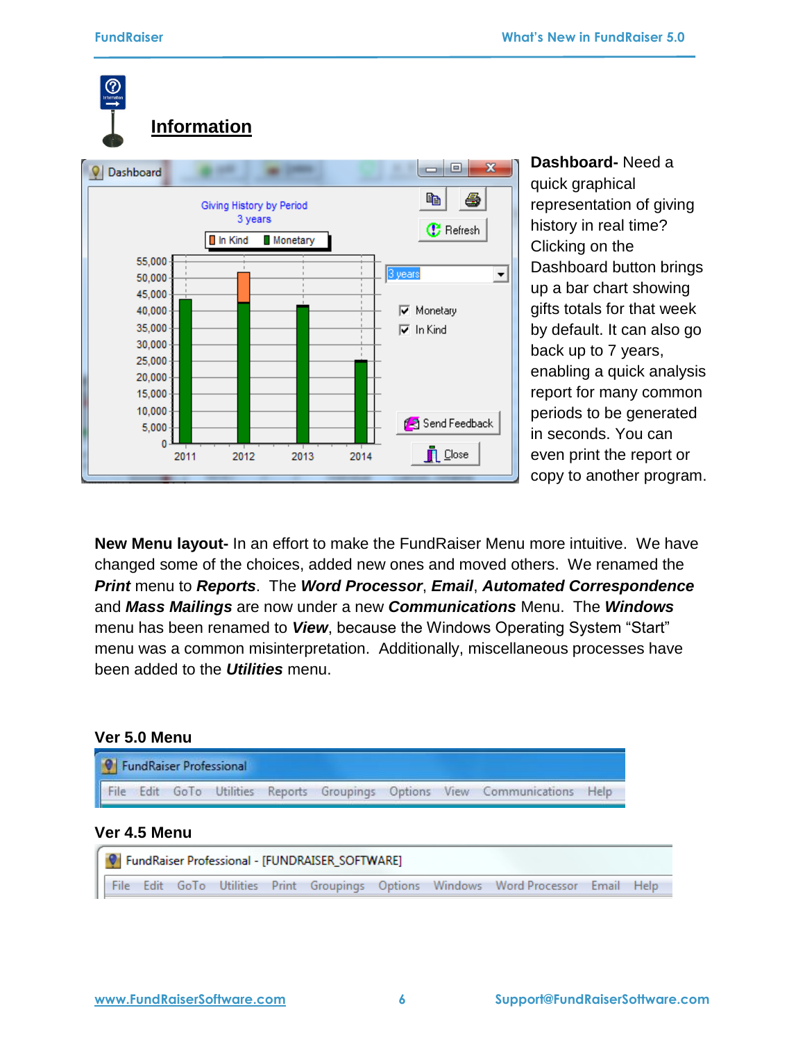

**Dashboard-** Need a quick graphical representation of giving history in real time? Clicking on the Dashboard button brings up a bar chart showing gifts totals for that week by default. It can also go back up to 7 years, enabling a quick analysis report for many common periods to be generated in seconds. You can even print the report or copy to another program.

**New Menu layout-** In an effort to make the FundRaiser Menu more intuitive. We have changed some of the choices, added new ones and moved others. We renamed the *Print* menu to *Reports*. The *Word Processor*, *Email*, *Automated Correspondence* and *Mass Mailings* are now under a new *Communications* Menu. The *Windows* menu has been renamed to *View*, because the Windows Operating System "Start" menu was a common misinterpretation. Additionally, miscellaneous processes have been added to the *Utilities* menu.

### **Ver 5.0 Menu**



```
C FundRaiser Professional - [FUNDRAISER_SOFTWARE]
File Edit GoTo Utilities Print Groupings Options Windows WordProcessor Email Help
```